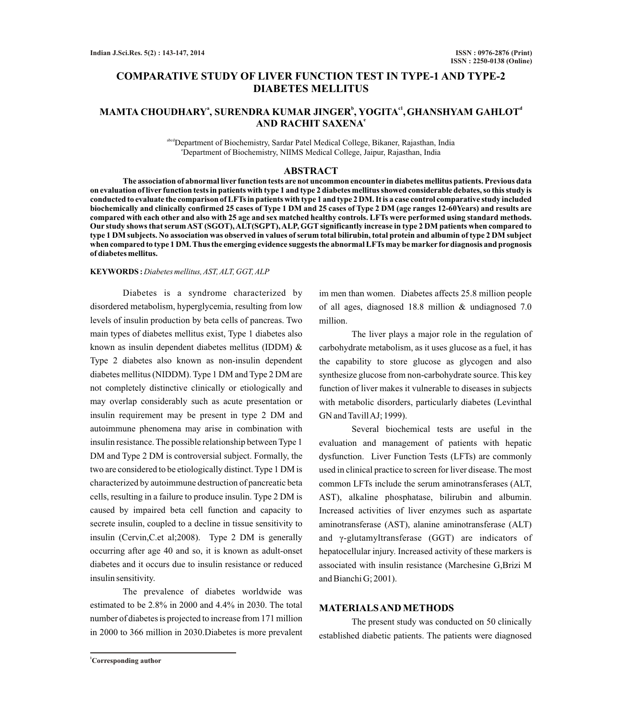# **COMPARATIVE STUDY OF LIVER FUNCTION TEST IN TYPE-1 AND TYPE-2 DIABETES MELLITUS**

# **<sup>a</sup> <sup>b</sup> c1 <sup>d</sup> MAMTA CHOUDHARY , SURENDRA KUMAR JINGER , YOGITA ,GHANSHYAM GAHLOT <sup>e</sup> AND RACHIT SAXENA**

abcdDepartment of Biochemistry, Sardar Patel Medical College, Bikaner, Rajasthan, India <sup>e</sup>Department of Biochemistry, NIIMS Medical College, Jaipur, Rajasthan, India

### **ABSTRACT**

**The association of abnormal liver function tests are not uncommon encounter in diabetes mellitus patients. Previous data on evaluation of liver function tests in patients with type 1 and type 2 diabetes mellitus showed considerable debates, so this study is conducted to evaluate the comparison of LFTs in patients with type 1 and type 2 DM. It is a case control comparative study included biochemically and clinically confirmed 25 cases of Type 1 DM and 25 cases of Type 2 DM (age ranges 12-60Years) and results are compared with each other and also with 25 age and sex matched healthy controls. LFTs were performed using standard methods.**  Our study shows that serum AST (SGOT), ALT(SGPT), ALP, GGT significantly increase in type 2 DM patients when compared to **type 1 DM subjects. No association was observed in values of serum total bilirubin, total protein and albumin of type 2 DM subject when compared to type 1 DM. Thus the emerging evidence suggests the abnormal LFTs may be marker fordiagnosis and prognosis of diabetes mellitus.**

# **KEYWORDS :** *Diabetes mellitus, AST, ALT, GGT, ALP*

Diabetes is a syndrome characterized by disordered metabolism, hyperglycemia, resulting from low levels of insulin production by beta cells of pancreas. Two main types of diabetes mellitus exist, Type 1 diabetes also known as insulin dependent diabetes mellitus (IDDM) & Type 2 diabetes also known as non-insulin dependent diabetes mellitus (NIDDM). Type 1 DM and Type 2 DM are not completely distinctive clinically or etiologically and may overlap considerably such as acute presentation or insulin requirement may be present in type 2 DM and autoimmune phenomena may arise in combination with insulin resistance. The possible relationship between Type 1 DM and Type 2 DM is controversial subject. Formally, the two are considered to be etiologically distinct. Type 1 DM is characterized by autoimmune destruction of pancreatic beta cells, resulting in a failure to produce insulin. Type 2 DM is caused by impaired beta cell function and capacity to secrete insulin, coupled to a decline in tissue sensitivity to insulin (Cervin,C.et al;2008). Type 2 DM is generally occurring after age 40 and so, it is known as adult-onset diabetes and it occurs due to insulin resistance or reduced insulin sensitivity.

The prevalence of diabetes worldwide was estimated to be 2.8% in 2000 and 4.4% in 2030. The total number of diabetes is projected to increase from 171 million in 2000 to 366 million in 2030.Diabetes is more prevalent

im men than women. Diabetes affects 25.8 million people of all ages, diagnosed 18.8 million & undiagnosed 7.0 million.

The liver plays a major role in the regulation of carbohydrate metabolism, as it uses glucose as a fuel, it has the capability to store glucose as glycogen and also synthesize glucose from non-carbohydrate source. This key function of liver makes it vulnerable to diseases in subjects with metabolic disorders, particularly diabetes (Levinthal GN and Tavill AJ; 1999).

Several biochemical tests are useful in the evaluation and management of patients with hepatic dysfunction. Liver Function Tests (LFTs) are commonly used in clinical practice to screen for liver disease. The most common LFTs include the serum aminotransferases (ALT, AST), alkaline phosphatase, bilirubin and albumin. Increased activities of liver enzymes such as aspartate aminotransferase (AST), alanine aminotransferase (ALT) and γ-glutamyltransferase (GGT) are indicators of hepatocellular injury. Increased activity of these markers is associated with insulin resistance (Marchesine G,Brizi M and Bianchi G; 2001).

# **MATERIALS AND METHODS**

The present study was conducted on 50 clinically established diabetic patients. The patients were diagnosed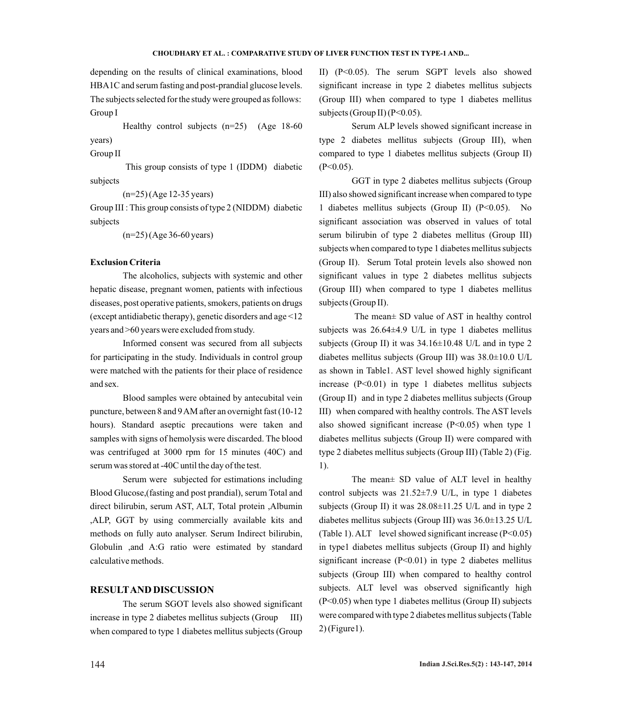#### **CHOUDHARY ET AL. : COMPARATIVE STUDY OF LIVER FUNCTION TEST IN TYPE-1 AND...**

depending on the results of clinical examinations, blood HBA1C and serum fasting and post-prandial glucose levels. The subjects selected for the study were grouped as follows: Group I

Healthy control subjects  $(n=25)$  (Age 18-60) years)

Group II

This group consists of type 1 (IDDM) diabetic subjects

(n=25) (Age 12-35 years)

Group III : This group consists of type 2 (NIDDM) diabetic subjects

(n=25) (Age 36-60 years)

## **Exclusion Criteria**

The alcoholics, subjects with systemic and other hepatic disease, pregnant women, patients with infectious diseases, post operative patients, smokers, patients on drugs (except antidiabetic therapy), genetic disorders and age <12 years and >60 years were excluded from study.

Informed consent was secured from all subjects for participating in the study. Individuals in control group were matched with the patients for their place of residence and sex.

Blood samples were obtained by antecubital vein puncture, between 8 and 9 AM after an overnight fast (10-12 hours). Standard aseptic precautions were taken and samples with signs of hemolysis were discarded. The blood was centrifuged at 3000 rpm for 15 minutes (40C) and serum was stored at -40C until the day of the test.

Serum were subjected for estimations including Blood Glucose,(fasting and post prandial), serum Total and direct bilirubin, serum AST, ALT, Total protein ,Albumin ,ALP, GGT by using commercially available kits and methods on fully auto analyser. Serum Indirect bilirubin, Globulin ,and A:G ratio were estimated by standard calculative methods.

# **RESULTAND DISCUSSION**

The serum SGOT levels also showed significant increase in type 2 diabetes mellitus subjects (Group III) when compared to type 1 diabetes mellitus subjects (Group

II) (P<0.05). The serum SGPT levels also showed significant increase in type 2 diabetes mellitus subjects (Group III) when compared to type 1 diabetes mellitus subjects (Group II) ( $P<0.05$ ).

Serum ALP levels showed significant increase in type 2 diabetes mellitus subjects (Group III), when compared to type 1 diabetes mellitus subjects (Group II)  $(P<0.05)$ .

GGT in type 2 diabetes mellitus subjects (Group III) also showed significant increase when compared to type 1 diabetes mellitus subjects (Group II) (P<0.05). No significant association was observed in values of total serum bilirubin of type 2 diabetes mellitus (Group III) subjects when compared to type 1 diabetes mellitus subjects (Group II). Serum Total protein levels also showed non significant values in type 2 diabetes mellitus subjects (Group III) when compared to type 1 diabetes mellitus subjects (Group II).

The mean± SD value of AST in healthy control subjects was 26.64±4.9 U/L in type 1 diabetes mellitus subjects (Group II) it was  $34.16 \pm 10.48$  U/L and in type 2 diabetes mellitus subjects (Group III) was 38.0±10.0 U/L as shown in Table1. AST level showed highly significant increase (P<0.01) in type 1 diabetes mellitus subjects (Group II) and in type 2 diabetes mellitus subjects (Group III) when compared with healthy controls. The AST levels also showed significant increase (P<0.05) when type 1 diabetes mellitus subjects (Group II) were compared with type 2 diabetes mellitus subjects (Group III) (Table 2) (Fig. 1).

The mean± SD value of ALT level in healthy control subjects was 21.52±7.9 U/L, in type 1 diabetes subjects (Group II) it was  $28.08 \pm 11.25$  U/L and in type 2 diabetes mellitus subjects (Group III) was 36.0±13.25 U/L (Table 1). ALT level showed significant increase (P<0.05) in type1 diabetes mellitus subjects (Group II) and highly significant increase  $(P<0.01)$  in type 2 diabetes mellitus subjects (Group III) when compared to healthy control subjects. ALT level was observed significantly high (P<0.05) when type 1 diabetes mellitus (Group II) subjects were compared with type 2 diabetes mellitus subjects (Table 2) (Figure1).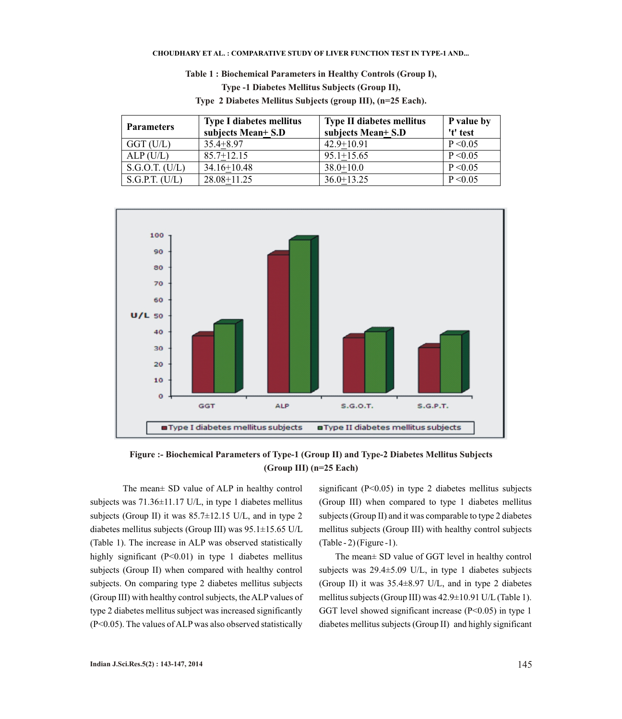#### **CHOUDHARY ET AL. : COMPARATIVE STUDY OF LIVER FUNCTION TEST IN TYPE-1 AND...**

**Table 1 : Biochemical Parameters in Healthy Controls (Group I),** 

**Type -1 Diabetes Mellitus Subjects (Group II),** 

| <b>Parameters</b> | <b>Type I diabetes mellitus</b> | <b>Type II diabetes mellitus</b> | P value by |
|-------------------|---------------------------------|----------------------------------|------------|
|                   | subjects Mean+ S.D              | subjects Mean+ S.D               | 't' test   |
| $GGT$ (U/L)       | $35.4 + 8.97$                   | $42.9 + 10.91$                   | P < 0.05   |
| ALP(U/L)          | $85.7 + 12.15$                  | $95.1 + 15.65$                   | P < 0.05   |
| S.G.O.T. (U/L)    | $34.16 + 10.48$                 | $38.0 + 10.0$                    | P < 0.05   |
| S.G.P.T. (U/L)    | 28.08+11.25                     | $36.0 + 13.25$                   | P < 0.05   |

**Type 2 Diabetes Mellitus Subjects (group III), (n=25 Each).**





The mean± SD value of ALP in healthy control subjects was 71.36±11.17 U/L, in type 1 diabetes mellitus subjects (Group II) it was 85.7±12.15 U/L, and in type 2 diabetes mellitus subjects (Group III) was 95.1±15.65 U/L (Table 1). The increase in ALP was observed statistically highly significant (P<0.01) in type 1 diabetes mellitus subjects (Group II) when compared with healthy control subjects. On comparing type 2 diabetes mellitus subjects (Group III) with healthy control subjects, the ALPvalues of type 2 diabetes mellitus subject was increased significantly (P<0.05). The values of ALP was also observed statistically

significant (P<0.05) in type 2 diabetes mellitus subjects (Group III) when compared to type 1 diabetes mellitus subjects (Group II) and it was comparable to type 2 diabetes mellitus subjects (Group III) with healthy control subjects (Table - 2) (Figure -1).

The mean± SD value of GGT level in healthy control subjects was 29.4±5.09 U/L, in type 1 diabetes subjects (Group II) it was 35.4±8.97 U/L, and in type 2 diabetes mellitus subjects (Group III) was 42.9±10.91 U/L(Table 1). GGT level showed significant increase  $(P<0.05)$  in type 1 diabetes mellitus subjects (Group II) and highly significant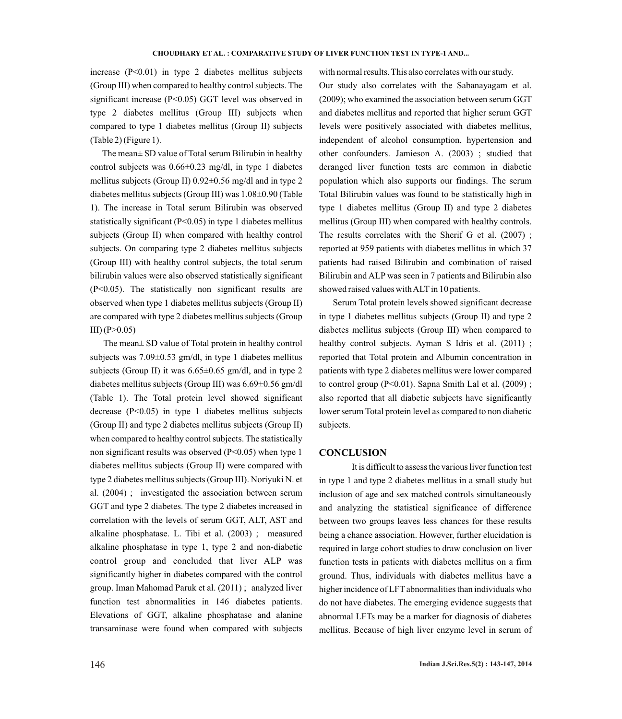increase  $(P<0.01)$  in type 2 diabetes mellitus subjects (Group III) when compared to healthy control subjects. The significant increase (P<0.05) GGT level was observed in type 2 diabetes mellitus (Group III) subjects when compared to type 1 diabetes mellitus (Group II) subjects (Table 2) (Figure 1).

The mean± SD value of Total serum Bilirubin in healthy control subjects was 0.66±0.23 mg/dl, in type 1 diabetes mellitus subjects (Group II) 0.92±0.56 mg/dl and in type 2 diabetes mellitus subjects (Group III) was 1.08±0.90 (Table 1). The increase in Total serum Bilirubin was observed statistically significant (P<0.05) in type 1 diabetes mellitus subjects (Group II) when compared with healthy control subjects. On comparing type 2 diabetes mellitus subjects (Group III) with healthy control subjects, the total serum bilirubin values were also observed statistically significant (P<0.05). The statistically non significant results are observed when type 1 diabetes mellitus subjects (Group II) are compared with type 2 diabetes mellitus subjects (Group  $III)$  (P $>0.05$ )

The mean± SD value of Total protein in healthy control subjects was 7.09±0.53 gm/dl, in type 1 diabetes mellitus subjects (Group II) it was  $6.65 \pm 0.65$  gm/dl, and in type 2 diabetes mellitus subjects (Group III) was 6.69±0.56 gm/dl (Table 1). The Total protein level showed significant decrease (P<0.05) in type 1 diabetes mellitus subjects (Group II) and type 2 diabetes mellitus subjects (Group II) when compared to healthy control subjects. The statistically non significant results was observed (P<0.05) when type 1 diabetes mellitus subjects (Group II) were compared with type 2 diabetes mellitus subjects (Group III). Noriyuki N. et al. (2004) ; investigated the association between serum GGT and type 2 diabetes. The type 2 diabetes increased in correlation with the levels of serum GGT, ALT, AST and alkaline phosphatase. L. Tibi et al. (2003) ; measured alkaline phosphatase in type 1, type 2 and non-diabetic control group and concluded that liver ALP was significantly higher in diabetes compared with the control group. Iman Mahomad Paruk et al. (2011) ; analyzed liver function test abnormalities in 146 diabetes patients. Elevations of GGT, alkaline phosphatase and alanine transaminase were found when compared with subjects

with normal results. This also correlates with our study. Our study also correlates with the Sabanayagam et al. (2009); who examined the association between serum GGT and diabetes mellitus and reported that higher serum GGT levels were positively associated with diabetes mellitus, independent of alcohol consumption, hypertension and other confounders. Jamieson A. (2003) ; studied that deranged liver function tests are common in diabetic population which also supports our findings. The serum Total Bilirubin values was found to be statistically high in type 1 diabetes mellitus (Group II) and type 2 diabetes mellitus (Group III) when compared with healthy controls. The results correlates with the Sherif G et al. (2007) ; reported at 959 patients with diabetes mellitus in which 37 patients had raised Bilirubin and combination of raised Bilirubin and ALP was seen in 7 patients and Bilirubin also showed raised values with ALT in 10 patients.

Serum Total protein levels showed significant decrease in type 1 diabetes mellitus subjects (Group II) and type 2 diabetes mellitus subjects (Group III) when compared to healthy control subjects. Ayman S Idris et al. (2011) ; reported that Total protein and Albumin concentration in patients with type 2 diabetes mellitus were lower compared to control group (P<0.01). Sapna Smith Lal et al. (2009) ; also reported that all diabetic subjects have significantly lower serum Total protein level as compared to non diabetic subjects.

## **CONCLUSION**

It is difficult to assess the various liver function test in type 1 and type 2 diabetes mellitus in a small study but inclusion of age and sex matched controls simultaneously and analyzing the statistical significance of difference between two groups leaves less chances for these results being a chance association. However, further elucidation is required in large cohort studies to draw conclusion on liver function tests in patients with diabetes mellitus on a firm ground. Thus, individuals with diabetes mellitus have a higher incidence of LFT abnormalities than individuals who do not have diabetes. The emerging evidence suggests that abnormal LFTs may be a marker for diagnosis of diabetes mellitus. Because of high liver enzyme level in serum of